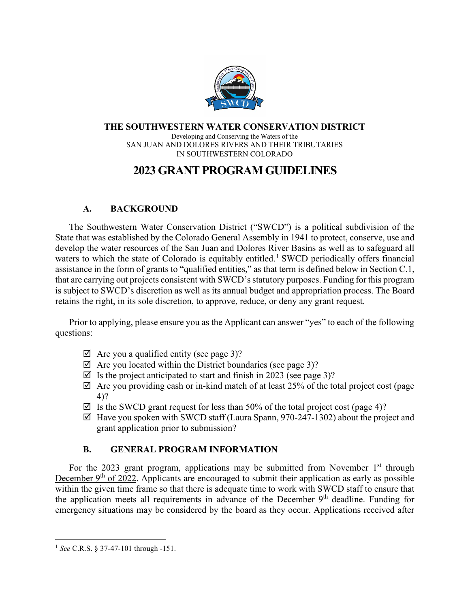

#### **THE SOUTHWESTERN WATER CONSERVATION DISTRICT** Developing and Conserving the Waters of the SAN JUAN AND DOLORES RIVERS AND THEIR TRIBUTARIES IN SOUTHWESTERN COLORADO

# **2023 GRANT PROGRAM GUIDELINES**

#### **A. BACKGROUND**

The Southwestern Water Conservation District ("SWCD") is a political subdivision of the State that was established by the Colorado General Assembly in 1941 to protect, conserve, use and develop the water resources of the San Juan and Dolores River Basins as well as to safeguard all waters to which the state of Colorado is equitably entitled.<sup>[1](#page-0-0)</sup> SWCD periodically offers financial assistance in the form of grants to "qualified entities," as that term is defined below in Section C.1, that are carrying out projects consistent with SWCD's statutory purposes. Funding for this program is subject to SWCD's discretion as well as its annual budget and appropriation process. The Board retains the right, in its sole discretion, to approve, reduce, or deny any grant request.

Prior to applying, please ensure you as the Applicant can answer "yes" to each of the following questions:

- $\boxtimes$  Are you a qualified entity (see page 3)?
- $\boxtimes$  Are you located within the District boundaries (see page 3)?
- $\boxtimes$  Is the project anticipated to start and finish in 2023 (see page 3)?
- $\boxtimes$  Are you providing cash or in-kind match of at least 25% of the total project cost (page 4)?
- $\boxtimes$  Is the SWCD grant request for less than 50% of the total project cost (page 4)?
- $\boxtimes$  Have you spoken with SWCD staff (Laura Spann, 970-247-1302) about the project and grant application prior to submission?

# **B. GENERAL PROGRAM INFORMATION**

For the 2023 grant program, applications may be submitted from November  $1<sup>st</sup>$  through December  $9<sup>th</sup>$  of 2022. Applicants are encouraged to submit their application as early as possible within the given time frame so that there is adequate time to work with SWCD staff to ensure that the application meets all requirements in advance of the December  $9<sup>th</sup>$  deadline. Funding for emergency situations may be considered by the board as they occur. Applications received after

<span id="page-0-0"></span><sup>1</sup> *See* C.R.S. § 37-47-101 through -151.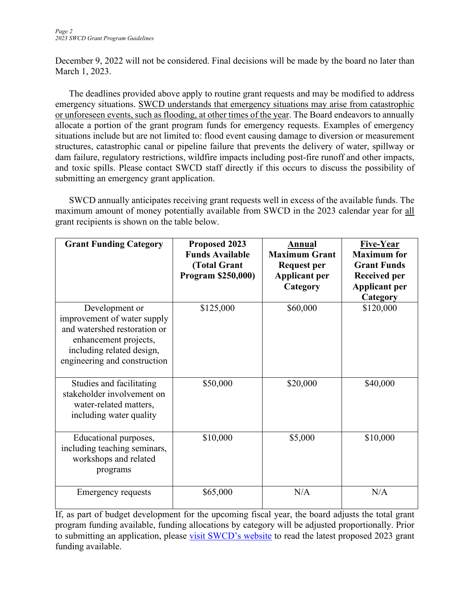December 9, 2022 will not be considered. Final decisions will be made by the board no later than March 1, 2023.

The deadlines provided above apply to routine grant requests and may be modified to address emergency situations. SWCD understands that emergency situations may arise from catastrophic or unforeseen events, such as flooding, at other times of the year. The Board endeavors to annually allocate a portion of the grant program funds for emergency requests. Examples of emergency situations include but are not limited to: flood event causing damage to diversion or measurement structures, catastrophic canal or pipeline failure that prevents the delivery of water, spillway or dam failure, regulatory restrictions, wildfire impacts including post-fire runoff and other impacts, and toxic spills. Please contact SWCD staff directly if this occurs to discuss the possibility of submitting an emergency grant application.

SWCD annually anticipates receiving grant requests well in excess of the available funds. The maximum amount of money potentially available from SWCD in the 2023 calendar year for all grant recipients is shown on the table below.

| <b>Grant Funding Category</b>                                                                                                                                       | Proposed 2023<br><b>Funds Available</b><br>(Total Grant<br>Program \$250,000) | Annual<br><b>Maximum Grant</b><br><b>Request per</b><br><b>Applicant per</b><br>Category | <b>Five-Year</b><br><b>Maximum</b> for<br><b>Grant Funds</b><br><b>Received per</b><br><b>Applicant per</b><br>Category |
|---------------------------------------------------------------------------------------------------------------------------------------------------------------------|-------------------------------------------------------------------------------|------------------------------------------------------------------------------------------|-------------------------------------------------------------------------------------------------------------------------|
| Development or<br>improvement of water supply<br>and watershed restoration or<br>enhancement projects,<br>including related design,<br>engineering and construction | \$125,000                                                                     | \$60,000                                                                                 | \$120,000                                                                                                               |
| Studies and facilitating<br>stakeholder involvement on<br>water-related matters,<br>including water quality                                                         | \$50,000                                                                      | \$20,000                                                                                 | \$40,000                                                                                                                |
| Educational purposes,<br>including teaching seminars,<br>workshops and related<br>programs                                                                          | \$10,000                                                                      | \$5,000                                                                                  | \$10,000                                                                                                                |
| <b>Emergency requests</b>                                                                                                                                           | \$65,000                                                                      | N/A                                                                                      | N/A                                                                                                                     |

If, as part of budget development for the upcoming fiscal year, the board adjusts the total grant program funding available, funding allocations by category will be adjusted proportionally. Prior to submitting an application, please [visit SWCD's website](https://swwcd.org/more/financial-assistance-program/) to read the latest proposed 2023 grant funding available.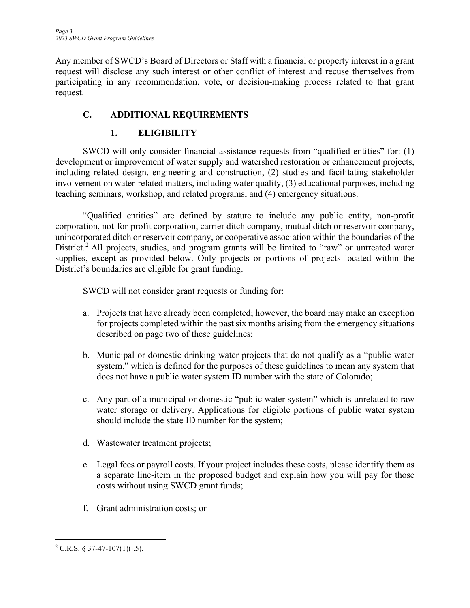Any member of SWCD's Board of Directors or Staff with a financial or property interest in a grant request will disclose any such interest or other conflict of interest and recuse themselves from participating in any recommendation, vote, or decision-making process related to that grant request.

# **C. ADDITIONAL REQUIREMENTS**

# **1. ELIGIBILITY**

SWCD will only consider financial assistance requests from "qualified entities" for: (1) development or improvement of water supply and watershed restoration or enhancement projects, including related design, engineering and construction, (2) studies and facilitating stakeholder involvement on water-related matters, including water quality, (3) educational purposes, including teaching seminars, workshop, and related programs, and (4) emergency situations.

"Qualified entities" are defined by statute to include any public entity, non-profit corporation, not-for-profit corporation, carrier ditch company, mutual ditch or reservoir company, unincorporated ditch or reservoir company, or cooperative association within the boundaries of the District.<sup>[2](#page-2-0)</sup> All projects, studies, and program grants will be limited to "raw" or untreated water supplies, except as provided below. Only projects or portions of projects located within the District's boundaries are eligible for grant funding.

SWCD will not consider grant requests or funding for:

- a. Projects that have already been completed; however, the board may make an exception for projects completed within the past six months arising from the emergency situations described on page two of these guidelines;
- b. Municipal or domestic drinking water projects that do not qualify as a "public water system," which is defined for the purposes of these guidelines to mean any system that does not have a public water system ID number with the state of Colorado;
- c. Any part of a municipal or domestic "public water system" which is unrelated to raw water storage or delivery. Applications for eligible portions of public water system should include the state ID number for the system;
- d. Wastewater treatment projects;
- e. Legal fees or payroll costs. If your project includes these costs, please identify them as a separate line-item in the proposed budget and explain how you will pay for those costs without using SWCD grant funds;
- f. Grant administration costs; or

<span id="page-2-0"></span> $2$  C.R.S. § 37-47-107(1)(j.5).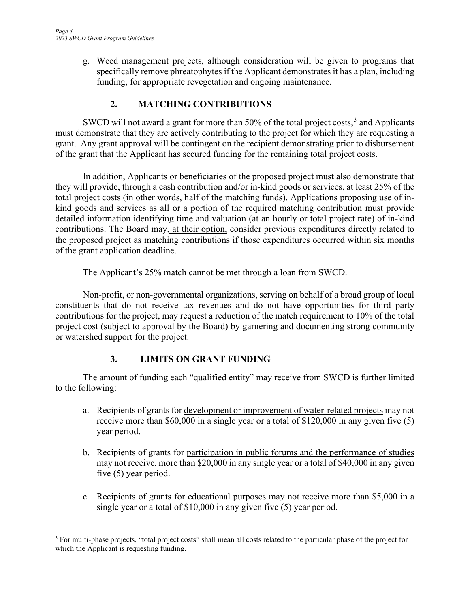g. Weed management projects, although consideration will be given to programs that specifically remove phreatophytes if the Applicant demonstrates it has a plan, including funding, for appropriate revegetation and ongoing maintenance.

### **2. MATCHING CONTRIBUTIONS**

SWCD will not award a grant for more than 50% of the total project costs,  $3$  and Applicants must demonstrate that they are actively contributing to the project for which they are requesting a grant. Any grant approval will be contingent on the recipient demonstrating prior to disbursement of the grant that the Applicant has secured funding for the remaining total project costs.

In addition, Applicants or beneficiaries of the proposed project must also demonstrate that they will provide, through a cash contribution and/or in-kind goods or services, at least 25% of the total project costs (in other words, half of the matching funds). Applications proposing use of inkind goods and services as all or a portion of the required matching contribution must provide detailed information identifying time and valuation (at an hourly or total project rate) of in-kind contributions. The Board may, at their option, consider previous expenditures directly related to the proposed project as matching contributions  $\underline{if}$  those expenditures occurred within six months of the grant application deadline.

The Applicant's 25% match cannot be met through a loan from SWCD.

Non-profit, or non-governmental organizations, serving on behalf of a broad group of local constituents that do not receive tax revenues and do not have opportunities for third party contributions for the project, may request a reduction of the match requirement to 10% of the total project cost (subject to approval by the Board) by garnering and documenting strong community or watershed support for the project.

# **3. LIMITS ON GRANT FUNDING**

The amount of funding each "qualified entity" may receive from SWCD is further limited to the following:

- a. Recipients of grants for development or improvement of water-related projects may not receive more than \$60,000 in a single year or a total of \$120,000 in any given five (5) year period.
- b. Recipients of grants for participation in public forums and the performance of studies may not receive, more than \$20,000 in any single year or a total of \$40,000 in any given five (5) year period.
- c. Recipients of grants for educational purposes may not receive more than \$5,000 in a single year or a total of \$10,000 in any given five (5) year period.

<span id="page-3-0"></span><sup>&</sup>lt;sup>3</sup> For multi-phase projects, "total project costs" shall mean all costs related to the particular phase of the project for which the Applicant is requesting funding.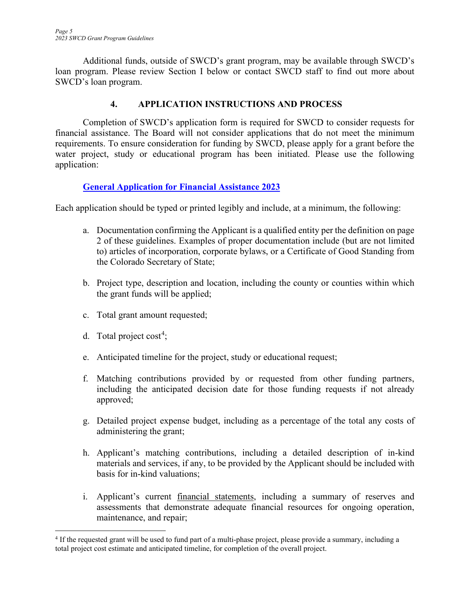Additional funds, outside of SWCD's grant program, may be available through SWCD's loan program. Please review Section I below or contact SWCD staff to find out more about SWCD's loan program.

#### **4. APPLICATION INSTRUCTIONS AND PROCESS**

Completion of SWCD's application form is required for SWCD to consider requests for financial assistance. The Board will not consider applications that do not meet the minimum requirements. To ensure consideration for funding by SWCD, please apply for a grant before the water project, study or educational program has been initiated. Please use the following application:

#### **[General Application for Financial Assistance 2023](https://swwcd.org/more/financial-assistance-program/)**

Each application should be typed or printed legibly and include, at a minimum, the following:

- a. Documentation confirming the Applicant is a qualified entity per the definition on page 2 of these guidelines. Examples of proper documentation include (but are not limited to) articles of incorporation, corporate bylaws, or a Certificate of Good Standing from the Colorado Secretary of State;
- b. Project type, description and location, including the county or counties within which the grant funds will be applied;
- c. Total grant amount requested;
- d. Total project  $cost<sup>4</sup>$  $cost<sup>4</sup>$  $cost<sup>4</sup>$ ;
- e. Anticipated timeline for the project, study or educational request;
- f. Matching contributions provided by or requested from other funding partners, including the anticipated decision date for those funding requests if not already approved;
- g. Detailed project expense budget, including as a percentage of the total any costs of administering the grant;
- h. Applicant's matching contributions, including a detailed description of in-kind materials and services, if any, to be provided by the Applicant should be included with basis for in-kind valuations;
- i. Applicant's current financial statements, including a summary of reserves and assessments that demonstrate adequate financial resources for ongoing operation, maintenance, and repair;

<span id="page-4-0"></span><sup>&</sup>lt;sup>4</sup> If the requested grant will be used to fund part of a multi-phase project, please provide a summary, including a total project cost estimate and anticipated timeline, for completion of the overall project.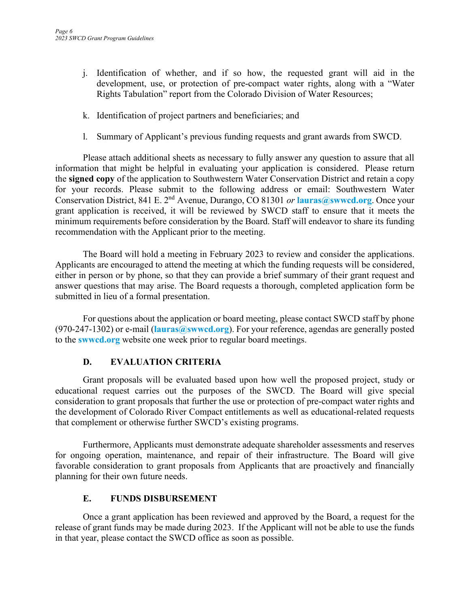- j. Identification of whether, and if so how, the requested grant will aid in the development, use, or protection of pre-compact water rights, along with a "Water Rights Tabulation" report from the Colorado Division of Water Resources;
- k. Identification of project partners and beneficiaries; and
- l. Summary of Applicant's previous funding requests and grant awards from SWCD.

Please attach additional sheets as necessary to fully answer any question to assure that all information that might be helpful in evaluating your application is considered. Please return the **signed copy** of the application to Southwestern Water Conservation District and retain a copy for your records. Please submit to the following address or email: Southwestern Water Conservation District, 841 E. 2nd Avenue, Durango, CO 81301 *or* **[lauras@swwcd.org](mailto:lauras@swwcd.org)**. Once your grant application is received, it will be reviewed by SWCD staff to ensure that it meets the minimum requirements before consideration by the Board. Staff will endeavor to share its funding recommendation with the Applicant prior to the meeting.

The Board will hold a meeting in February 2023 to review and consider the applications. Applicants are encouraged to attend the meeting at which the funding requests will be considered, either in person or by phone, so that they can provide a brief summary of their grant request and answer questions that may arise. The Board requests a thorough, completed application form be submitted in lieu of a formal presentation.

For questions about the application or board meeting, please contact SWCD staff by phone (970-247-1302) or e-mail (**[lauras@swwcd.org](mailto:lauras@swwcd.org)**). For your reference, agendas are generally posted to the **swwcd.org** website one week prior to regular board meetings.

#### **D. EVALUATION CRITERIA**

Grant proposals will be evaluated based upon how well the proposed project, study or educational request carries out the purposes of the SWCD. The Board will give special consideration to grant proposals that further the use or protection of pre-compact water rights and the development of Colorado River Compact entitlements as well as educational-related requests that complement or otherwise further SWCD's existing programs.

Furthermore, Applicants must demonstrate adequate shareholder assessments and reserves for ongoing operation, maintenance, and repair of their infrastructure. The Board will give favorable consideration to grant proposals from Applicants that are proactively and financially planning for their own future needs.

#### **E. FUNDS DISBURSEMENT**

Once a grant application has been reviewed and approved by the Board, a request for the release of grant funds may be made during 2023. If the Applicant will not be able to use the funds in that year, please contact the SWCD office as soon as possible.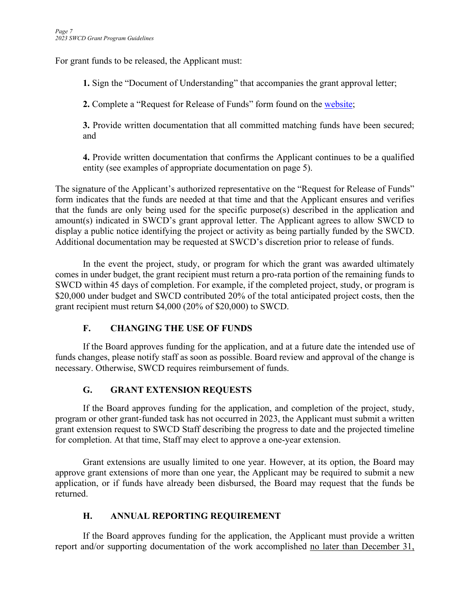For grant funds to be released, the Applicant must:

**1.** Sign the "Document of Understanding" that accompanies the grant approval letter;

**2.** Complete a "Request for Release of Funds" form found on the [website;](https://swwcd.org/more/financial-assistance-program/)

**3.** Provide written documentation that all committed matching funds have been secured; and

**4.** Provide written documentation that confirms the Applicant continues to be a qualified entity (see examples of appropriate documentation on page 5).

The signature of the Applicant's authorized representative on the "Request for Release of Funds" form indicates that the funds are needed at that time and that the Applicant ensures and verifies that the funds are only being used for the specific purpose(s) described in the application and amount(s) indicated in SWCD's grant approval letter. The Applicant agrees to allow SWCD to display a public notice identifying the project or activity as being partially funded by the SWCD. Additional documentation may be requested at SWCD's discretion prior to release of funds.

In the event the project, study, or program for which the grant was awarded ultimately comes in under budget, the grant recipient must return a pro-rata portion of the remaining funds to SWCD within 45 days of completion. For example, if the completed project, study, or program is \$20,000 under budget and SWCD contributed 20% of the total anticipated project costs, then the grant recipient must return \$4,000 (20% of \$20,000) to SWCD.

# **F. CHANGING THE USE OF FUNDS**

If the Board approves funding for the application, and at a future date the intended use of funds changes, please notify staff as soon as possible. Board review and approval of the change is necessary. Otherwise, SWCD requires reimbursement of funds.

# **G. GRANT EXTENSION REQUESTS**

If the Board approves funding for the application, and completion of the project, study, program or other grant-funded task has not occurred in 2023, the Applicant must submit a written grant extension request to SWCD Staff describing the progress to date and the projected timeline for completion. At that time, Staff may elect to approve a one-year extension.

Grant extensions are usually limited to one year. However, at its option, the Board may approve grant extensions of more than one year, the Applicant may be required to submit a new application, or if funds have already been disbursed, the Board may request that the funds be returned.

# **H. ANNUAL REPORTING REQUIREMENT**

If the Board approves funding for the application, the Applicant must provide a written report and/or supporting documentation of the work accomplished no later than December 31,